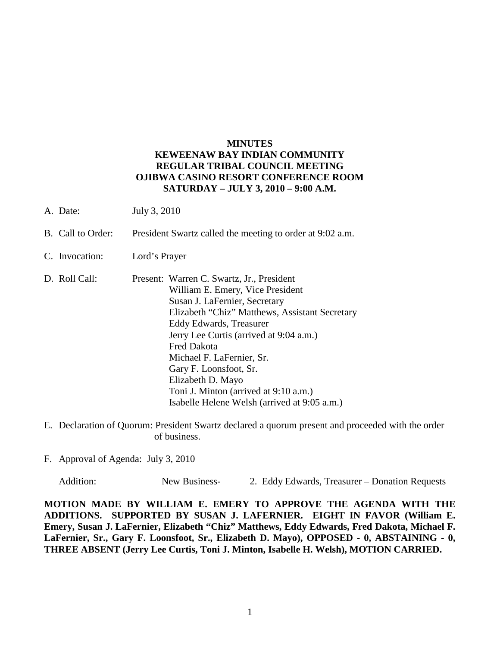### **MINUTES KEWEENAW BAY INDIAN COMMUNITY REGULAR TRIBAL COUNCIL MEETING OJIBWA CASINO RESORT CONFERENCE ROOM SATURDAY – JULY 3, 2010 – 9:00 A.M.**

- A. Date: July 3, 2010
- B. Call to Order: President Swartz called the meeting to order at 9:02 a.m.
- C. Invocation: Lord's Prayer
- D. Roll Call: Present: Warren C. Swartz, Jr., President William E. Emery, Vice President Susan J. LaFernier, Secretary Elizabeth "Chiz" Matthews, Assistant Secretary Eddy Edwards, Treasurer Jerry Lee Curtis (arrived at 9:04 a.m.) Fred Dakota Michael F. LaFernier, Sr. Gary F. Loonsfoot, Sr. Elizabeth D. Mayo Toni J. Minton (arrived at 9:10 a.m.) Isabelle Helene Welsh (arrived at 9:05 a.m.)
- E. Declaration of Quorum: President Swartz declared a quorum present and proceeded with the order of business.
- F. Approval of Agenda: July 3, 2010

Addition: New Business- 2. Eddy Edwards, Treasurer – Donation Requests

**MOTION MADE BY WILLIAM E. EMERY TO APPROVE THE AGENDA WITH THE ADDITIONS. SUPPORTED BY SUSAN J. LAFERNIER. EIGHT IN FAVOR (William E. Emery, Susan J. LaFernier, Elizabeth "Chiz" Matthews, Eddy Edwards, Fred Dakota, Michael F. LaFernier, Sr., Gary F. Loonsfoot, Sr., Elizabeth D. Mayo), OPPOSED - 0, ABSTAINING - 0, THREE ABSENT (Jerry Lee Curtis, Toni J. Minton, Isabelle H. Welsh), MOTION CARRIED.**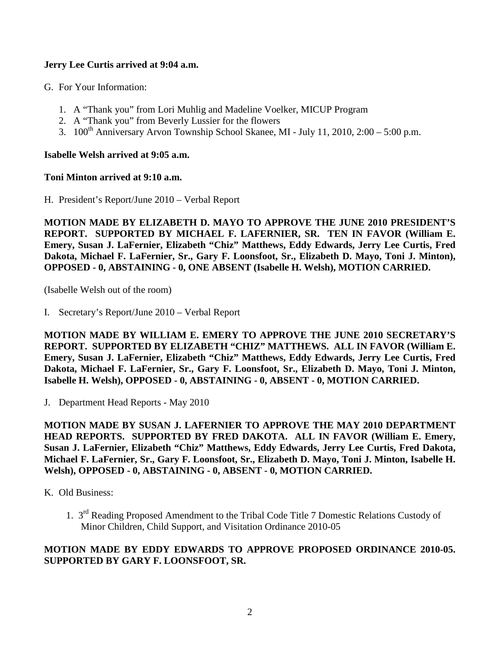# **Jerry Lee Curtis arrived at 9:04 a.m.**

G. For Your Information:

- 1. A "Thank you" from Lori Muhlig and Madeline Voelker, MICUP Program
- 2. A "Thank you" from Beverly Lussier for the flowers
- 3.  $100^{th}$  Anniversary Arvon Township School Skanee, MI July 11, 2010, 2:00 5:00 p.m.

## **Isabelle Welsh arrived at 9:05 a.m.**

### **Toni Minton arrived at 9:10 a.m.**

H. President's Report/June 2010 – Verbal Report

**MOTION MADE BY ELIZABETH D. MAYO TO APPROVE THE JUNE 2010 PRESIDENT'S REPORT. SUPPORTED BY MICHAEL F. LAFERNIER, SR. TEN IN FAVOR (William E. Emery, Susan J. LaFernier, Elizabeth "Chiz" Matthews, Eddy Edwards, Jerry Lee Curtis, Fred Dakota, Michael F. LaFernier, Sr., Gary F. Loonsfoot, Sr., Elizabeth D. Mayo, Toni J. Minton), OPPOSED - 0, ABSTAINING - 0, ONE ABSENT (Isabelle H. Welsh), MOTION CARRIED.**

(Isabelle Welsh out of the room)

I. Secretary's Report/June 2010 – Verbal Report

**MOTION MADE BY WILLIAM E. EMERY TO APPROVE THE JUNE 2010 SECRETARY'S REPORT. SUPPORTED BY ELIZABETH "CHIZ" MATTHEWS. ALL IN FAVOR (William E. Emery, Susan J. LaFernier, Elizabeth "Chiz" Matthews, Eddy Edwards, Jerry Lee Curtis, Fred Dakota, Michael F. LaFernier, Sr., Gary F. Loonsfoot, Sr., Elizabeth D. Mayo, Toni J. Minton, Isabelle H. Welsh), OPPOSED - 0, ABSTAINING - 0, ABSENT - 0, MOTION CARRIED.**

J. Department Head Reports - May 2010

**MOTION MADE BY SUSAN J. LAFERNIER TO APPROVE THE MAY 2010 DEPARTMENT HEAD REPORTS. SUPPORTED BY FRED DAKOTA. ALL IN FAVOR (William E. Emery, Susan J. LaFernier, Elizabeth "Chiz" Matthews, Eddy Edwards, Jerry Lee Curtis, Fred Dakota, Michael F. LaFernier, Sr., Gary F. Loonsfoot, Sr., Elizabeth D. Mayo, Toni J. Minton, Isabelle H. Welsh), OPPOSED - 0, ABSTAINING - 0, ABSENT - 0, MOTION CARRIED.**

K. Old Business:

1. 3<sup>rd</sup> Reading Proposed Amendment to the Tribal Code Title 7 Domestic Relations Custody of Minor Children, Child Support, and Visitation Ordinance 2010-05

# **MOTION MADE BY EDDY EDWARDS TO APPROVE PROPOSED ORDINANCE 2010-05. SUPPORTED BY GARY F. LOONSFOOT, SR.**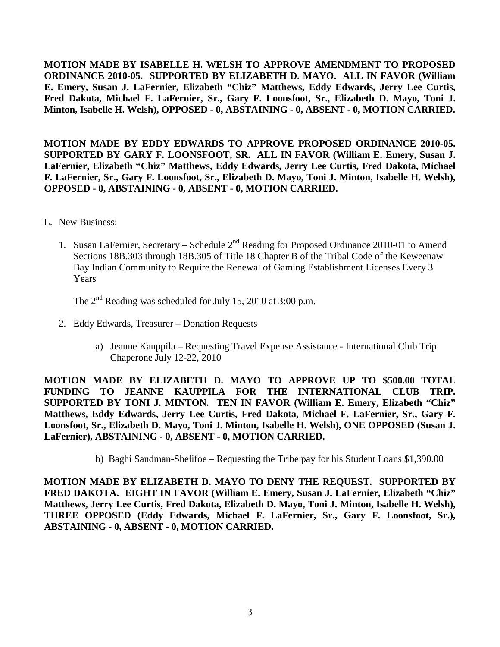**MOTION MADE BY ISABELLE H. WELSH TO APPROVE AMENDMENT TO PROPOSED ORDINANCE 2010-05. SUPPORTED BY ELIZABETH D. MAYO. ALL IN FAVOR (William E. Emery, Susan J. LaFernier, Elizabeth "Chiz" Matthews, Eddy Edwards, Jerry Lee Curtis, Fred Dakota, Michael F. LaFernier, Sr., Gary F. Loonsfoot, Sr., Elizabeth D. Mayo, Toni J. Minton, Isabelle H. Welsh), OPPOSED - 0, ABSTAINING - 0, ABSENT - 0, MOTION CARRIED.**

**MOTION MADE BY EDDY EDWARDS TO APPROVE PROPOSED ORDINANCE 2010-05. SUPPORTED BY GARY F. LOONSFOOT, SR. ALL IN FAVOR (William E. Emery, Susan J. LaFernier, Elizabeth "Chiz" Matthews, Eddy Edwards, Jerry Lee Curtis, Fred Dakota, Michael F. LaFernier, Sr., Gary F. Loonsfoot, Sr., Elizabeth D. Mayo, Toni J. Minton, Isabelle H. Welsh), OPPOSED - 0, ABSTAINING - 0, ABSENT - 0, MOTION CARRIED.**

- L. New Business:
	- 1. Susan LaFernier, Secretary Schedule 2<sup>nd</sup> Reading for Proposed Ordinance 2010-01 to Amend Sections 18B.303 through 18B.305 of Title 18 Chapter B of the Tribal Code of the Keweenaw Bay Indian Community to Require the Renewal of Gaming Establishment Licenses Every 3 Years

The  $2<sup>nd</sup>$  Reading was scheduled for July 15, 2010 at 3:00 p.m.

- 2. Eddy Edwards, Treasurer Donation Requests
	- a) Jeanne Kauppila Requesting Travel Expense Assistance International Club Trip Chaperone July 12-22, 2010

**MOTION MADE BY ELIZABETH D. MAYO TO APPROVE UP TO \$500.00 TOTAL FUNDING TO JEANNE KAUPPILA FOR THE INTERNATIONAL CLUB TRIP. SUPPORTED BY TONI J. MINTON. TEN IN FAVOR (William E. Emery, Elizabeth "Chiz" Matthews, Eddy Edwards, Jerry Lee Curtis, Fred Dakota, Michael F. LaFernier, Sr., Gary F. Loonsfoot, Sr., Elizabeth D. Mayo, Toni J. Minton, Isabelle H. Welsh), ONE OPPOSED (Susan J. LaFernier), ABSTAINING - 0, ABSENT - 0, MOTION CARRIED.**

b) Baghi Sandman-Shelifoe – Requesting the Tribe pay for his Student Loans \$1,390.00

**MOTION MADE BY ELIZABETH D. MAYO TO DENY THE REQUEST. SUPPORTED BY FRED DAKOTA. EIGHT IN FAVOR (William E. Emery, Susan J. LaFernier, Elizabeth "Chiz" Matthews, Jerry Lee Curtis, Fred Dakota, Elizabeth D. Mayo, Toni J. Minton, Isabelle H. Welsh), THREE OPPOSED (Eddy Edwards, Michael F. LaFernier, Sr., Gary F. Loonsfoot, Sr.), ABSTAINING - 0, ABSENT - 0, MOTION CARRIED.**